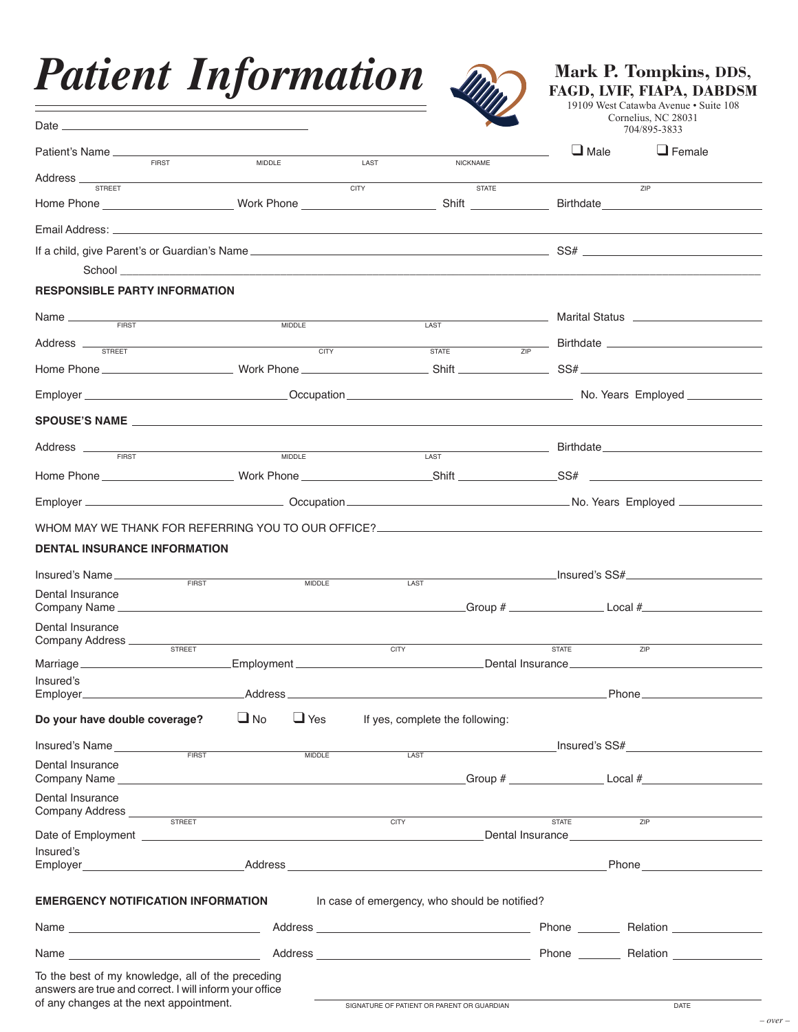|  | <b>Patient Information</b> |
|--|----------------------------|
|--|----------------------------|



**Mark P. Tompkins, DDS, FAGD, LVIF, FIAPA, DABDSM**

19109 West Catawba Avenue • Suite 108 Cornelius, NC 28031 704/895-3833

| Date $_{-}$<br><u> 1989 - Andrea State Barbara, Amerikaansk politiker (</u>                                                                                                                                                          |                         |                                                                                                                                                                                                                                                                                                                                                                                                                                                                                                       |                                                        |               | COLLIGIIUS, INC $20031$<br>704/895-3833     |  |
|--------------------------------------------------------------------------------------------------------------------------------------------------------------------------------------------------------------------------------------|-------------------------|-------------------------------------------------------------------------------------------------------------------------------------------------------------------------------------------------------------------------------------------------------------------------------------------------------------------------------------------------------------------------------------------------------------------------------------------------------------------------------------------------------|--------------------------------------------------------|---------------|---------------------------------------------|--|
| Patient's Name<br><b>FIRST</b>                                                                                                                                                                                                       | MIDDLE                  | LAST                                                                                                                                                                                                                                                                                                                                                                                                                                                                                                  | <b>NICKNAME</b>                                        | $\Box$ Male   | $\Box$ Female                               |  |
|                                                                                                                                                                                                                                      |                         |                                                                                                                                                                                                                                                                                                                                                                                                                                                                                                       |                                                        |               |                                             |  |
| <b>STREET</b>                                                                                                                                                                                                                        |                         | <b>CITY</b>                                                                                                                                                                                                                                                                                                                                                                                                                                                                                           | <b>STATE</b>                                           |               | <b>ZIP</b>                                  |  |
|                                                                                                                                                                                                                                      |                         |                                                                                                                                                                                                                                                                                                                                                                                                                                                                                                       |                                                        |               |                                             |  |
|                                                                                                                                                                                                                                      |                         |                                                                                                                                                                                                                                                                                                                                                                                                                                                                                                       |                                                        |               |                                             |  |
|                                                                                                                                                                                                                                      |                         |                                                                                                                                                                                                                                                                                                                                                                                                                                                                                                       |                                                        |               |                                             |  |
| <b>RESPONSIBLE PARTY INFORMATION</b>                                                                                                                                                                                                 |                         |                                                                                                                                                                                                                                                                                                                                                                                                                                                                                                       |                                                        |               |                                             |  |
| Name                                                                                                                                                                                                                                 | <b>MIDDLE</b>           |                                                                                                                                                                                                                                                                                                                                                                                                                                                                                                       | LAST                                                   |               |                                             |  |
| Address <u>street and the street street and the street street and the street street and the street street and the street and the street and the street and the street and the street and the street and the street and the stree</u> |                         |                                                                                                                                                                                                                                                                                                                                                                                                                                                                                                       |                                                        |               | $\frac{1}{ZIP}$ Birthdate                   |  |
|                                                                                                                                                                                                                                      |                         |                                                                                                                                                                                                                                                                                                                                                                                                                                                                                                       |                                                        |               |                                             |  |
|                                                                                                                                                                                                                                      |                         |                                                                                                                                                                                                                                                                                                                                                                                                                                                                                                       |                                                        |               |                                             |  |
| SPOUSE'S NAME <b>And Account of the Contract Only to the Contract Only to the Contract Only to the Contract Only to the Contract Only to the Contract Only to the Contract Only to the Contract Only to the Contract Only to the</b> |                         |                                                                                                                                                                                                                                                                                                                                                                                                                                                                                                       |                                                        |               |                                             |  |
|                                                                                                                                                                                                                                      |                         |                                                                                                                                                                                                                                                                                                                                                                                                                                                                                                       |                                                        |               |                                             |  |
| Address _____<br><b>FIRST</b>                                                                                                                                                                                                        | <b>MIDDLE</b>           |                                                                                                                                                                                                                                                                                                                                                                                                                                                                                                       | <u> 1989 - Johann Barn, mars eta inperiodo</u><br>LAST |               |                                             |  |
|                                                                                                                                                                                                                                      |                         |                                                                                                                                                                                                                                                                                                                                                                                                                                                                                                       |                                                        |               |                                             |  |
|                                                                                                                                                                                                                                      |                         |                                                                                                                                                                                                                                                                                                                                                                                                                                                                                                       |                                                        |               |                                             |  |
| WHOM MAY WE THANK FOR REFERRING YOU TO OUR OFFICE?_______________________________                                                                                                                                                    |                         |                                                                                                                                                                                                                                                                                                                                                                                                                                                                                                       |                                                        |               |                                             |  |
| DENTAL INSURANCE INFORMATION                                                                                                                                                                                                         |                         |                                                                                                                                                                                                                                                                                                                                                                                                                                                                                                       |                                                        |               |                                             |  |
|                                                                                                                                                                                                                                      |                         |                                                                                                                                                                                                                                                                                                                                                                                                                                                                                                       |                                                        |               |                                             |  |
| Insured's Name<br>FIRST                                                                                                                                                                                                              | <b>MIDDLE</b>           |                                                                                                                                                                                                                                                                                                                                                                                                                                                                                                       | LAST                                                   |               | _Insured's SS#_____________________________ |  |
| Dental Insurance                                                                                                                                                                                                                     |                         |                                                                                                                                                                                                                                                                                                                                                                                                                                                                                                       |                                                        |               |                                             |  |
| Dental Insurance                                                                                                                                                                                                                     |                         |                                                                                                                                                                                                                                                                                                                                                                                                                                                                                                       |                                                        |               |                                             |  |
| Company Address ______<br>STREET                                                                                                                                                                                                     |                         | <b>CITY</b>                                                                                                                                                                                                                                                                                                                                                                                                                                                                                           |                                                        | <b>STATE</b>  | ZIP                                         |  |
| Marriage                                                                                                                                                                                                                             |                         |                                                                                                                                                                                                                                                                                                                                                                                                                                                                                                       |                                                        |               |                                             |  |
| Insured's                                                                                                                                                                                                                            |                         |                                                                                                                                                                                                                                                                                                                                                                                                                                                                                                       |                                                        |               |                                             |  |
|                                                                                                                                                                                                                                      |                         |                                                                                                                                                                                                                                                                                                                                                                                                                                                                                                       |                                                        |               |                                             |  |
| Do your have double coverage?                                                                                                                                                                                                        | $\Box$ No<br>$\Box$ Yes |                                                                                                                                                                                                                                                                                                                                                                                                                                                                                                       | If yes, complete the following:                        |               |                                             |  |
| Insured's Name<br>FIRST                                                                                                                                                                                                              | <b>MIDDLE</b>           |                                                                                                                                                                                                                                                                                                                                                                                                                                                                                                       | LAST                                                   | Insured's SS# |                                             |  |
| Dental Insurance                                                                                                                                                                                                                     |                         |                                                                                                                                                                                                                                                                                                                                                                                                                                                                                                       |                                                        |               |                                             |  |
| Dental Insurance                                                                                                                                                                                                                     |                         |                                                                                                                                                                                                                                                                                                                                                                                                                                                                                                       |                                                        |               | $C = 2$ Croup $\#$                          |  |
| Company Address                                                                                                                                                                                                                      |                         |                                                                                                                                                                                                                                                                                                                                                                                                                                                                                                       |                                                        |               |                                             |  |
| STREET                                                                                                                                                                                                                               |                         | 7IP<br><b>CITY</b><br><b>STATE</b><br>Date of Employment experience and the contract of the contract of the contract of the contract of the contract of the contract of the contract of the contract of the contract of the contract of the contract of the contract<br>Dental Insurance Dental Contract Contract Contract Contract Contract Contract Contract Contract Contract Contract Contract Contract Contract Contract Contract Contract Contract Contract Contract Contract Contract Contract |                                                        |               |                                             |  |
| Insured's                                                                                                                                                                                                                            |                         |                                                                                                                                                                                                                                                                                                                                                                                                                                                                                                       |                                                        |               |                                             |  |
|                                                                                                                                                                                                                                      |                         |                                                                                                                                                                                                                                                                                                                                                                                                                                                                                                       |                                                        |               | <b>Phone Example 2019</b>                   |  |
| <b>EMERGENCY NOTIFICATION INFORMATION</b>                                                                                                                                                                                            |                         |                                                                                                                                                                                                                                                                                                                                                                                                                                                                                                       | In case of emergency, who should be notified?          |               |                                             |  |
|                                                                                                                                                                                                                                      |                         |                                                                                                                                                                                                                                                                                                                                                                                                                                                                                                       |                                                        |               |                                             |  |
|                                                                                                                                                                                                                                      |                         |                                                                                                                                                                                                                                                                                                                                                                                                                                                                                                       |                                                        |               |                                             |  |
| To the best of my knowledge, all of the preceding                                                                                                                                                                                    |                         |                                                                                                                                                                                                                                                                                                                                                                                                                                                                                                       |                                                        |               |                                             |  |
| answers are true and correct. I will inform your office                                                                                                                                                                              |                         |                                                                                                                                                                                                                                                                                                                                                                                                                                                                                                       |                                                        |               |                                             |  |
| of any changes at the next appointment.                                                                                                                                                                                              |                         |                                                                                                                                                                                                                                                                                                                                                                                                                                                                                                       | SIGNATURE OF PATIENT OR PARENT OR GUARDIAN             |               | DATE                                        |  |